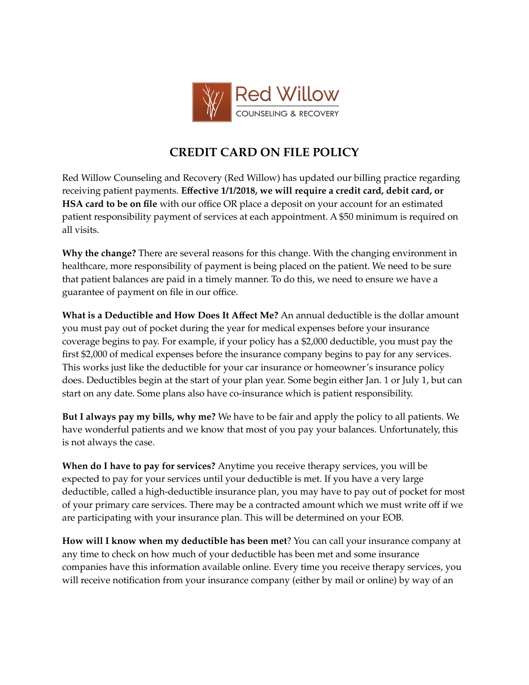

## **CREDIT CARD ON FILE POLICY**

Red Willow Counseling and Recovery (Red Willow) has updated our billing practice regarding receiving patient payments. **Effective 1/1/2018, we will require a credit card, debit card, or HSA card to be on file** with our office OR place a deposit on your account for an estimated patient responsibility payment of services at each appointment. A \$50 minimum is required on all visits.

**Why the change?** There are several reasons for this change. With the changing environment in healthcare, more responsibility of payment is being placed on the patient. We need to be sure that patient balances are paid in a timely manner. To do this, we need to ensure we have a guarantee of payment on file in our office.

**What is a Deductible and How Does It Affect Me?** An annual deductible is the dollar amount you must pay out of pocket during the year for medical expenses before your insurance coverage begins to pay. For example, if your policy has a \$2,000 deductible, you must pay the first \$2,000 of medical expenses before the insurance company begins to pay for any services. This works just like the deductible for your car insurance or homeowner's insurance policy does. Deductibles begin at the start of your plan year. Some begin either Jan. 1 or July 1, but can start on any date. Some plans also have co-insurance which is patient responsibility.

**But I always pay my bills, why me?** We have to be fair and apply the policy to all patients. We have wonderful patients and we know that most of you pay your balances. Unfortunately, this is not always the case.

**When do I have to pay for services?** Anytime you receive therapy services, you will be expected to pay for your services until your deductible is met. If you have a very large deductible, called a high-deductible insurance plan, you may have to pay out of pocket for most of your primary care services. There may be a contracted amount which we must write off if we are participating with your insurance plan. This will be determined on your EOB.

**How will I know when my deductible has been met**? You can call your insurance company at any time to check on how much of your deductible has been met and some insurance companies have this information available online. Every time you receive therapy services, you will receive notification from your insurance company (either by mail or online) by way of an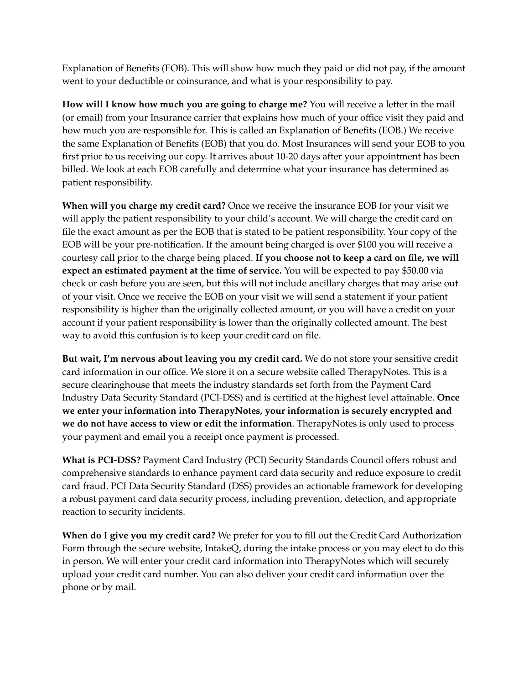Explanation of Benefits (EOB). This will show how much they paid or did not pay, if the amount went to your deductible or coinsurance, and what is your responsibility to pay.

**How will I know how much you are going to charge me?** You will receive a letter in the mail (or email) from your Insurance carrier that explains how much of your office visit they paid and how much you are responsible for. This is called an Explanation of Benefits (EOB.) We receive the same Explanation of Benefits (EOB) that you do. Most Insurances will send your EOB to you first prior to us receiving our copy. It arrives about 10-20 days after your appointment has been billed. We look at each EOB carefully and determine what your insurance has determined as patient responsibility.

**When will you charge my credit card?** Once we receive the insurance EOB for your visit we will apply the patient responsibility to your child's account. We will charge the credit card on file the exact amount as per the EOB that is stated to be patient responsibility. Your copy of the EOB will be your pre-notification. If the amount being charged is over \$100 you will receive a courtesy call prior to the charge being placed. **If you choose not to keep a card on file, we will expect an estimated payment at the time of service.** You will be expected to pay \$50.00 via check or cash before you are seen, but this will not include ancillary charges that may arise out of your visit. Once we receive the EOB on your visit we will send a statement if your patient responsibility is higher than the originally collected amount, or you will have a credit on your account if your patient responsibility is lower than the originally collected amount. The best way to avoid this confusion is to keep your credit card on file.

**But wait, I'm nervous about leaving you my credit card.** We do not store your sensitive credit card information in our office. We store it on a secure website called TherapyNotes. This is a secure clearinghouse that meets the industry standards set forth from the Payment Card Industry Data Security Standard (PCI-DSS) and is certified at the highest level attainable. **Once we enter your information into TherapyNotes, your information is securely encrypted and we do not have access to view or edit the information**. TherapyNotes is only used to process your payment and email you a receipt once payment is processed.

**What is PCI-DSS?** Payment Card Industry (PCI) Security Standards Council offers robust and comprehensive standards to enhance payment card data security and reduce exposure to credit card fraud. PCI Data Security Standard (DSS) provides an actionable framework for developing a robust payment card data security process, including prevention, detection, and appropriate reaction to security incidents.

**When do I give you my credit card?** We prefer for you to fill out the Credit Card Authorization Form through the secure website, IntakeQ, during the intake process or you may elect to do this in person. We will enter your credit card information into TherapyNotes which will securely upload your credit card number. You can also deliver your credit card information over the phone or by mail.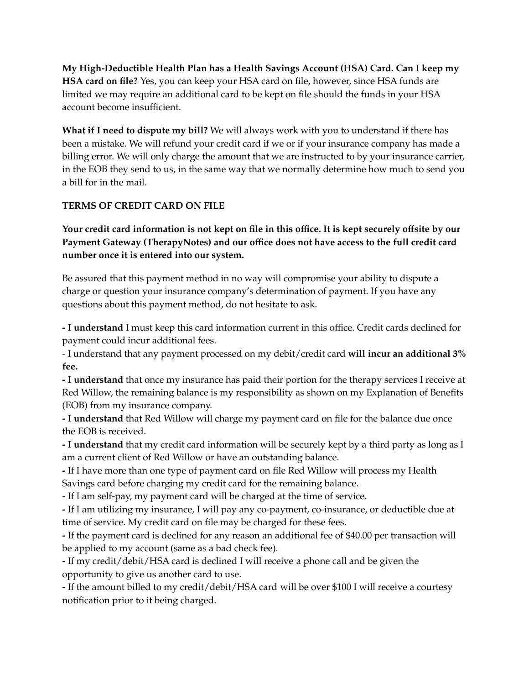**My High-Deductible Health Plan has a Health Savings Account (HSA) Card. Can I keep my HSA card on file?** Yes, you can keep your HSA card on file, however, since HSA funds are limited we may require an additional card to be kept on file should the funds in your HSA account become insufficient.

**What if I need to dispute my bill?** We will always work with you to understand if there has been a mistake. We will refund your credit card if we or if your insurance company has made a billing error. We will only charge the amount that we are instructed to by your insurance carrier, in the EOB they send to us, in the same way that we normally determine how much to send you a bill for in the mail.

## **TERMS OF CREDIT CARD ON FILE**

Your credit card information is not kept on file in this office. It is kept securely offsite by our **Payment Gateway (TherapyNotes) and our office does not have access to the full credit card number once it is entered into our system.**

Be assured that this payment method in no way will compromise your ability to dispute a charge or question your insurance company's determination of payment. If you have any questions about this payment method, do not hesitate to ask.

**- I understand** I must keep this card information current in this office. Credit cards declined for payment could incur additional fees.

- I understand that any payment processed on my debit/credit card **will incur an additional 3% fee.**

**- I understand** that once my insurance has paid their portion for the therapy services I receive at Red Willow, the remaining balance is my responsibility as shown on my Explanation of Benefits (EOB) from my insurance company.

**- I understand** that Red Willow will charge my payment card on file for the balance due once the EOB is received.

**- I understand** that my credit card information will be securely kept by a third party as long as I am a current client of Red Willow or have an outstanding balance.

**-** If I have more than one type of payment card on file Red Willow will process my Health Savings card before charging my credit card for the remaining balance.

**-** If I am self-pay, my payment card will be charged at the time of service.

**-** If I am utilizing my insurance, I will pay any co-payment, co-insurance, or deductible due at time of service. My credit card on file may be charged for these fees.

**-** If the payment card is declined for any reason an additional fee of \$40.00 per transaction will be applied to my account (same as a bad check fee).

**-** If my credit/debit/HSA card is declined I will receive a phone call and be given the opportunity to give us another card to use.

**-** If the amount billed to my credit/debit/HSA card will be over \$100 I will receive a courtesy notification prior to it being charged.